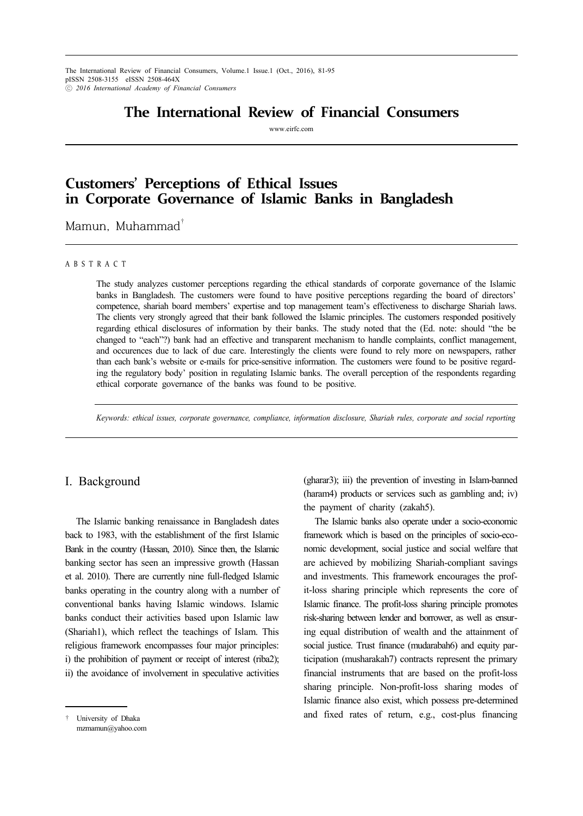The International Review of Financial Consumers, Volume.1 Issue.1 (Oct., 2016), 81-95 pISSN 2508-3155 eISSN 2508-464X ⓒ *2016 International Academy of Financial Consumers*12

# **The International Review of Financial Consumers**

www.eirfc.com

# **Customers' Perceptions of Ethical Issues in Corporate Governance of Islamic Banks in Bangladesh**

Mamun, Muhammad†

### A B S T R A C T

The study analyzes customer perceptions regarding the ethical standards of corporate governance of the Islamic banks in Bangladesh. The customers were found to have positive perceptions regarding the board of directors' competence, shariah board members' expertise and top management team's effectiveness to discharge Shariah laws. The clients very strongly agreed that their bank followed the Islamic principles. The customers responded positively regarding ethical disclosures of information by their banks. The study noted that the (Ed. note: should "the be changed to "each"?) bank had an effective and transparent mechanism to handle complaints, conflict management, and occurences due to lack of due care. Interestingly the clients were found to rely more on newspapers, rather than each bank's website or e-mails for price-sensitive information. The customers were found to be positive regarding the regulatory body' position in regulating Islamic banks. The overall perception of the respondents regarding ethical corporate governance of the banks was found to be positive.

*Keywords: ethical issues, corporate governance, compliance, information disclosure, Shariah rules, corporate and social reporting*

### I. Background

The Islamic banking renaissance in Bangladesh dates back to 1983, with the establishment of the first Islamic Bank in the country (Hassan, 2010). Since then, the Islamic banking sector has seen an impressive growth (Hassan et al. 2010). There are currently nine full-fledged Islamic banks operating in the country along with a number of conventional banks having Islamic windows. Islamic banks conduct their activities based upon Islamic law (Shariah1), which reflect the teachings of Islam. This religious framework encompasses four major principles: i) the prohibition of payment or receipt of interest (riba2); ii) the avoidance of involvement in speculative activities

† University of Dhaka mzmamun@yahoo.com (gharar3); iii) the prevention of investing in Islam-banned (haram4) products or services such as gambling and; iv) the payment of charity (zakah5).

The Islamic banks also operate under a socio-economic framework which is based on the principles of socio-economic development, social justice and social welfare that are achieved by mobilizing Shariah-compliant savings and investments. This framework encourages the profit-loss sharing principle which represents the core of Islamic finance. The profit-loss sharing principle promotes risk-sharing between lender and borrower, as well as ensuring equal distribution of wealth and the attainment of social justice. Trust finance (mudarabah6) and equity participation (musharakah7) contracts represent the primary financial instruments that are based on the profit-loss sharing principle. Non-profit-loss sharing modes of Islamic finance also exist, which possess pre-determined and fixed rates of return, e.g., cost-plus financing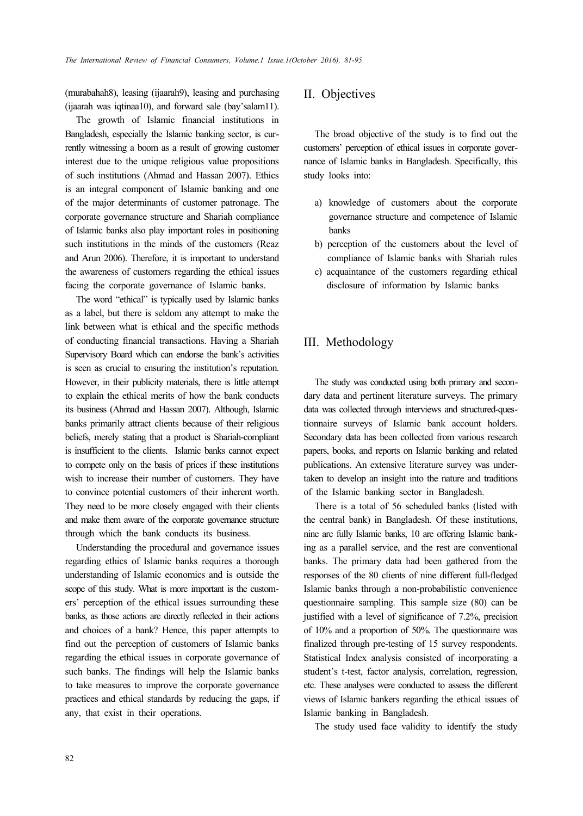(murabahah8), leasing (ijaarah9), leasing and purchasing (ijaarah was iqtinaa10), and forward sale (bay'salam11).

The growth of Islamic financial institutions in Bangladesh, especially the Islamic banking sector, is currently witnessing a boom as a result of growing customer interest due to the unique religious value propositions of such institutions (Ahmad and Hassan 2007). Ethics is an integral component of Islamic banking and one of the major determinants of customer patronage. The corporate governance structure and Shariah compliance of Islamic banks also play important roles in positioning such institutions in the minds of the customers (Reaz and Arun 2006). Therefore, it is important to understand the awareness of customers regarding the ethical issues facing the corporate governance of Islamic banks.

The word "ethical" is typically used by Islamic banks as a label, but there is seldom any attempt to make the link between what is ethical and the specific methods of conducting financial transactions. Having a Shariah Supervisory Board which can endorse the bank's activities is seen as crucial to ensuring the institution's reputation. However, in their publicity materials, there is little attempt to explain the ethical merits of how the bank conducts its business (Ahmad and Hassan 2007). Although, Islamic banks primarily attract clients because of their religious beliefs, merely stating that a product is Shariah-compliant is insufficient to the clients. Islamic banks cannot expect to compete only on the basis of prices if these institutions wish to increase their number of customers. They have to convince potential customers of their inherent worth. They need to be more closely engaged with their clients and make them aware of the corporate governance structure through which the bank conducts its business.

Understanding the procedural and governance issues regarding ethics of Islamic banks requires a thorough understanding of Islamic economics and is outside the scope of this study. What is more important is the customers' perception of the ethical issues surrounding these banks, as those actions are directly reflected in their actions and choices of a bank? Hence, this paper attempts to find out the perception of customers of Islamic banks regarding the ethical issues in corporate governance of such banks. The findings will help the Islamic banks to take measures to improve the corporate governance practices and ethical standards by reducing the gaps, if any, that exist in their operations.

# II. Objectives

The broad objective of the study is to find out the customers' perception of ethical issues in corporate governance of Islamic banks in Bangladesh. Specifically, this study looks into:

- a) knowledge of customers about the corporate governance structure and competence of Islamic banks
- b) perception of the customers about the level of compliance of Islamic banks with Shariah rules
- c) acquaintance of the customers regarding ethical disclosure of information by Islamic banks

## III. Methodology

The study was conducted using both primary and secondary data and pertinent literature surveys. The primary data was collected through interviews and structured-questionnaire surveys of Islamic bank account holders. Secondary data has been collected from various research papers, books, and reports on Islamic banking and related publications. An extensive literature survey was undertaken to develop an insight into the nature and traditions of the Islamic banking sector in Bangladesh.

There is a total of 56 scheduled banks (listed with the central bank) in Bangladesh. Of these institutions, nine are fully Islamic banks, 10 are offering Islamic banking as a parallel service, and the rest are conventional banks. The primary data had been gathered from the responses of the 80 clients of nine different full-fledged Islamic banks through a non-probabilistic convenience questionnaire sampling. This sample size (80) can be justified with a level of significance of 7.2%, precision of 10% and a proportion of 50%. The questionnaire was finalized through pre-testing of 15 survey respondents. Statistical Index analysis consisted of incorporating a student's t-test, factor analysis, correlation, regression, etc. These analyses were conducted to assess the different views of Islamic bankers regarding the ethical issues of Islamic banking in Bangladesh.

The study used face validity to identify the study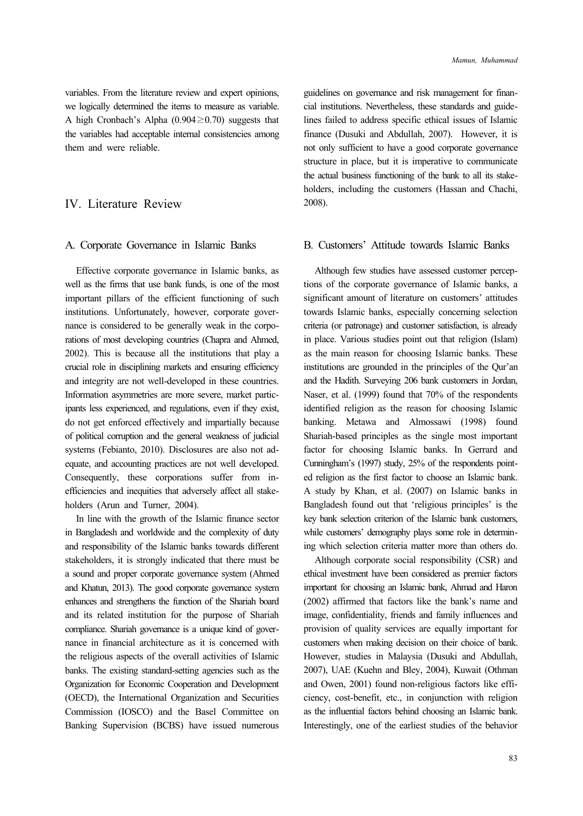variables. From the literature review and expert opinions, we logically determined the items to measure as variable. A high Cronbach's Alpha (0.904≥0.70) suggests that the variables had acceptable internal consistencies among them and were reliable.

# IV. Literature Review

### A. Corporate Governance in Islamic Banks

Effective corporate governance in Islamic banks, as well as the firms that use bank funds, is one of the most important pillars of the efficient functioning of such institutions. Unfortunately, however, corporate governance is considered to be generally weak in the corporations of most developing countries (Chapra and Ahmed, 2002). This is because all the institutions that play a crucial role in disciplining markets and ensuring efficiency and integrity are not well-developed in these countries. Information asymmetries are more severe, market participants less experienced, and regulations, even if they exist, do not get enforced effectively and impartially because of political corruption and the general weakness of judicial systems (Febianto, 2010). Disclosures are also not adequate, and accounting practices are not well developed. Consequently, these corporations suffer from inefficiencies and inequities that adversely affect all stakeholders (Arun and Turner, 2004).

In line with the growth of the Islamic finance sector in Bangladesh and worldwide and the complexity of duty and responsibility of the Islamic banks towards different stakeholders, it is strongly indicated that there must be a sound and proper corporate governance system (Ahmed and Khatun, 2013). The good corporate governance system enhances and strengthens the function of the Shariah board and its related institution for the purpose of Shariah compliance. Shariah governance is a unique kind of governance in financial architecture as it is concerned with the religious aspects of the overall activities of Islamic banks. The existing standard-setting agencies such as the Organization for Economic Cooperation and Development (OECD), the International Organization and Securities Commission (IOSCO) and the Basel Committee on Banking Supervision (BCBS) have issued numerous

guidelines on governance and risk management for financial institutions. Nevertheless, these standards and guidelines failed to address specific ethical issues of Islamic finance (Dusuki and Abdullah, 2007). However, it is not only sufficient to have a good corporate governance structure in place, but it is imperative to communicate the actual business functioning of the bank to all its stakeholders, including the customers (Hassan and Chachi, 2008).

### B. Customers' Attitude towards Islamic Banks

Although few studies have assessed customer perceptions of the corporate governance of Islamic banks, a significant amount of literature on customers' attitudes towards Islamic banks, especially concerning selection criteria (or patronage) and customer satisfaction, is already in place. Various studies point out that religion (Islam) as the main reason for choosing Islamic banks. These institutions are grounded in the principles of the Qur'an and the Hadith. Surveying 206 bank customers in Jordan, Naser, et al. (1999) found that 70% of the respondents identified religion as the reason for choosing Islamic banking. Metawa and Almossawi (1998) found Shariah-based principles as the single most important factor for choosing Islamic banks. In Gerrard and Cunningham's (1997) study, 25% of the respondents pointed religion as the first factor to choose an Islamic bank. A study by Khan, et al. (2007) on Islamic banks in Bangladesh found out that 'religious principles' is the key bank selection criterion of the Islamic bank customers, while customers' demography plays some role in determining which selection criteria matter more than others do.

Although corporate social responsibility (CSR) and ethical investment have been considered as premier factors important for choosing an Islamic bank, Ahmad and Haron (2002) affirmed that factors like the bank's name and image, confidentiality, friends and family influences and provision of quality services are equally important for customers when making decision on their choice of bank. However, studies in Malaysia (Dusuki and Abdullah, 2007), UAE (Kuehn and Bley, 2004), Kuwait (Othman and Owen, 2001) found non-religious factors like efficiency, cost-benefit, etc., in conjunction with religion as the influential factors behind choosing an Islamic bank. Interestingly, one of the earliest studies of the behavior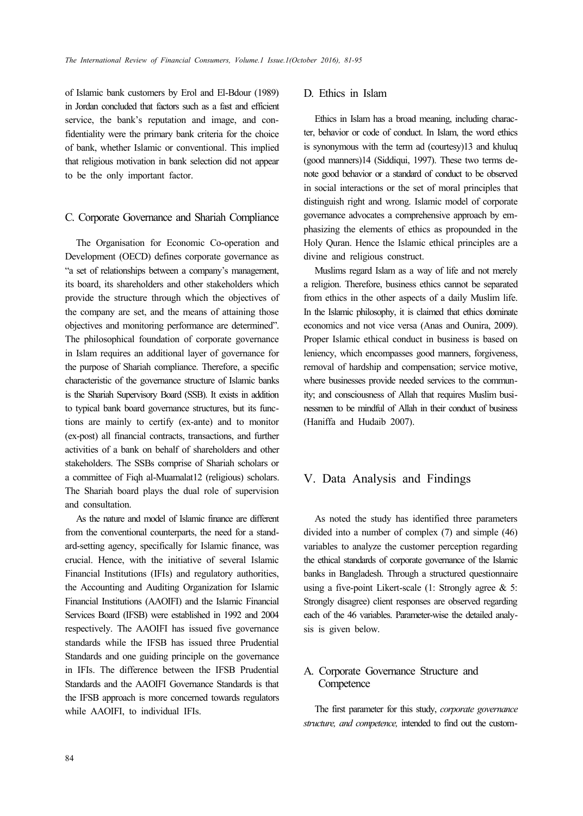of Islamic bank customers by Erol and El-Bdour (1989) in Jordan concluded that factors such as a fast and efficient service, the bank's reputation and image, and confidentiality were the primary bank criteria for the choice of bank, whether Islamic or conventional. This implied that religious motivation in bank selection did not appear to be the only important factor.

### C. Corporate Governance and Shariah Compliance

The Organisation for Economic Co-operation and Development (OECD) defines corporate governance as "a set of relationships between a company's management, its board, its shareholders and other stakeholders which provide the structure through which the objectives of the company are set, and the means of attaining those objectives and monitoring performance are determined". The philosophical foundation of corporate governance in Islam requires an additional layer of governance for the purpose of Shariah compliance. Therefore, a specific characteristic of the governance structure of Islamic banks is the Shariah Supervisory Board (SSB). It exists in addition to typical bank board governance structures, but its functions are mainly to certify (ex-ante) and to monitor (ex-post) all financial contracts, transactions, and further activities of a bank on behalf of shareholders and other stakeholders. The SSBs comprise of Shariah scholars or a committee of Fiqh al-Muamalat12 (religious) scholars. The Shariah board plays the dual role of supervision and consultation.

As the nature and model of Islamic finance are different from the conventional counterparts, the need for a standard-setting agency, specifically for Islamic finance, was crucial. Hence, with the initiative of several Islamic Financial Institutions (IFIs) and regulatory authorities, the Accounting and Auditing Organization for Islamic Financial Institutions (AAOIFI) and the Islamic Financial Services Board (IFSB) were established in 1992 and 2004 respectively. The AAOIFI has issued five governance standards while the IFSB has issued three Prudential Standards and one guiding principle on the governance in IFIs. The difference between the IFSB Prudential Standards and the AAOIFI Governance Standards is that the IFSB approach is more concerned towards regulators while AAOIFI, to individual IFIs.

# D. Ethics in Islam

Ethics in Islam has a broad meaning, including character, behavior or code of conduct. In Islam, the word ethics is synonymous with the term ad (courtesy)13 and khuluq (good manners)14 (Siddiqui, 1997). These two terms denote good behavior or a standard of conduct to be observed in social interactions or the set of moral principles that distinguish right and wrong. Islamic model of corporate governance advocates a comprehensive approach by emphasizing the elements of ethics as propounded in the Holy Quran. Hence the Islamic ethical principles are a divine and religious construct.

Muslims regard Islam as a way of life and not merely a religion. Therefore, business ethics cannot be separated from ethics in the other aspects of a daily Muslim life. In the Islamic philosophy, it is claimed that ethics dominate economics and not vice versa (Anas and Ounira, 2009). Proper Islamic ethical conduct in business is based on leniency, which encompasses good manners, forgiveness, removal of hardship and compensation; service motive, where businesses provide needed services to the community; and consciousness of Allah that requires Muslim businessmen to be mindful of Allah in their conduct of business (Haniffa and Hudaib 2007).

# V. Data Analysis and Findings

As noted the study has identified three parameters divided into a number of complex (7) and simple (46) variables to analyze the customer perception regarding the ethical standards of corporate governance of the Islamic banks in Bangladesh. Through a structured questionnaire using a five-point Likert-scale (1: Strongly agree & 5: Strongly disagree) client responses are observed regarding each of the 46 variables. Parameter-wise the detailed analysis is given below.

# A. Corporate Governance Structure and **Competence**

The first parameter for this study, *corporate governance structure, and competence,* intended to find out the custom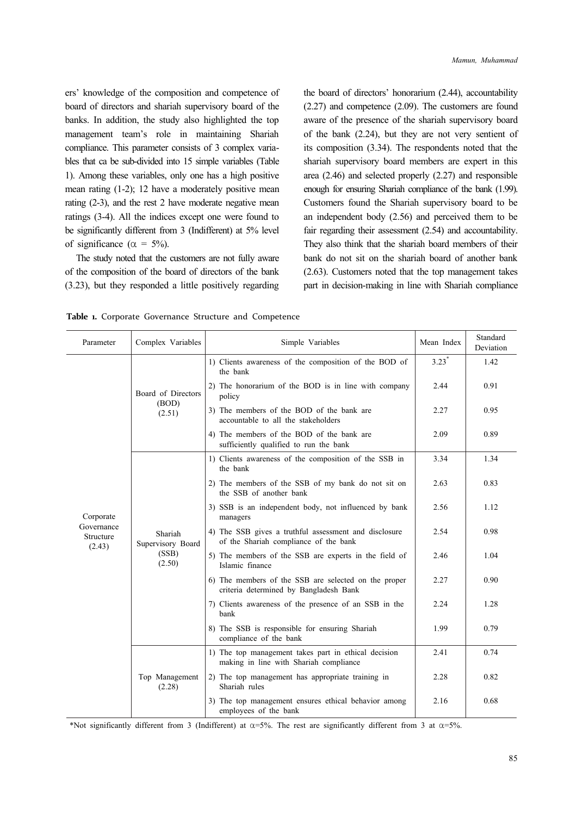ers' knowledge of the composition and competence of board of directors and shariah supervisory board of the banks. In addition, the study also highlighted the top management team's role in maintaining Shariah compliance. This parameter consists of 3 complex variables that ca be sub-divided into 15 simple variables (Table 1). Among these variables, only one has a high positive mean rating (1-2); 12 have a moderately positive mean rating (2-3), and the rest 2 have moderate negative mean ratings (3-4). All the indices except one were found to be significantly different from 3 (Indifferent) at 5% level of significance ( $\alpha = 5\%$ ).

The study noted that the customers are not fully aware of the composition of the board of directors of the bank (3.23), but they responded a little positively regarding the board of directors' honorarium (2.44), accountability (2.27) and competence (2.09). The customers are found aware of the presence of the shariah supervisory board of the bank (2.24), but they are not very sentient of its composition (3.34). The respondents noted that the shariah supervisory board members are expert in this area (2.46) and selected properly (2.27) and responsible enough for ensuring Shariah compliance of the bank (1.99). Customers found the Shariah supervisory board to be an independent body (2.56) and perceived them to be fair regarding their assessment (2.54) and accountability. They also think that the shariah board members of their bank do not sit on the shariah board of another bank (2.63). Customers noted that the top management takes part in decision-making in line with Shariah compliance

| Parameter                         | Complex Variables                               | Simple Variables                                                                               | Mean Index                                                               | Standard<br>Deviation |
|-----------------------------------|-------------------------------------------------|------------------------------------------------------------------------------------------------|--------------------------------------------------------------------------|-----------------------|
|                                   |                                                 | 1) Clients awareness of the composition of the BOD of<br>the bank                              | $3.23*$                                                                  | 1.42                  |
|                                   | Board of Directors                              | 2) The honorarium of the BOD is in line with company<br>policy                                 | 2.44                                                                     | 0.91                  |
|                                   | (BOD)<br>(2.51)                                 | 3) The members of the BOD of the bank are<br>accountable to all the stakeholders               | 2.27                                                                     | 0.95                  |
|                                   |                                                 | 4) The members of the BOD of the bank are<br>sufficiently qualified to run the bank            | 2.09                                                                     | 0.89                  |
|                                   |                                                 | 1) Clients awareness of the composition of the SSB in<br>the bank                              | 3.34                                                                     | 1.34                  |
|                                   | Shariah<br>Supervisory Board<br>(SSB)<br>(2.50) | 2) The members of the SSB of my bank do not sit on<br>the SSB of another bank                  | 2.63                                                                     | 0.83                  |
| Corporate                         |                                                 | 3) SSB is an independent body, not influenced by bank<br>managers                              | 2.56                                                                     | 1.12                  |
| Governance<br>Structure<br>(2.43) |                                                 | 4) The SSB gives a truthful assessment and disclosure<br>of the Shariah compliance of the bank | 2.54                                                                     | 0.98                  |
|                                   |                                                 | 5) The members of the SSB are experts in the field of<br>Islamic finance                       | 2.46                                                                     | 1.04                  |
|                                   |                                                 | 6) The members of the SSB are selected on the proper<br>criteria determined by Bangladesh Bank | 2.27                                                                     | 0.90                  |
|                                   |                                                 | 7) Clients awareness of the presence of an SSB in the<br>bank                                  | 2.24                                                                     | 1.28                  |
|                                   |                                                 |                                                                                                | 8) The SSB is responsible for ensuring Shariah<br>compliance of the bank | 1.99                  |
|                                   |                                                 | 1) The top management takes part in ethical decision<br>making in line with Shariah compliance | 2.41                                                                     | 0.74                  |
|                                   | Top Management<br>(2.28)                        | 2) The top management has appropriate training in<br>Shariah rules                             | 2.28                                                                     | 0.82                  |
|                                   |                                                 | 3) The top management ensures ethical behavior among<br>employees of the bank                  | 2.16                                                                     | 0.68                  |

**Table 1.** Corporate Governance Structure and Competence

\*Not significantly different from 3 (Indifferent) at  $\alpha$ =5%. The rest are significantly different from 3 at  $\alpha$ =5%.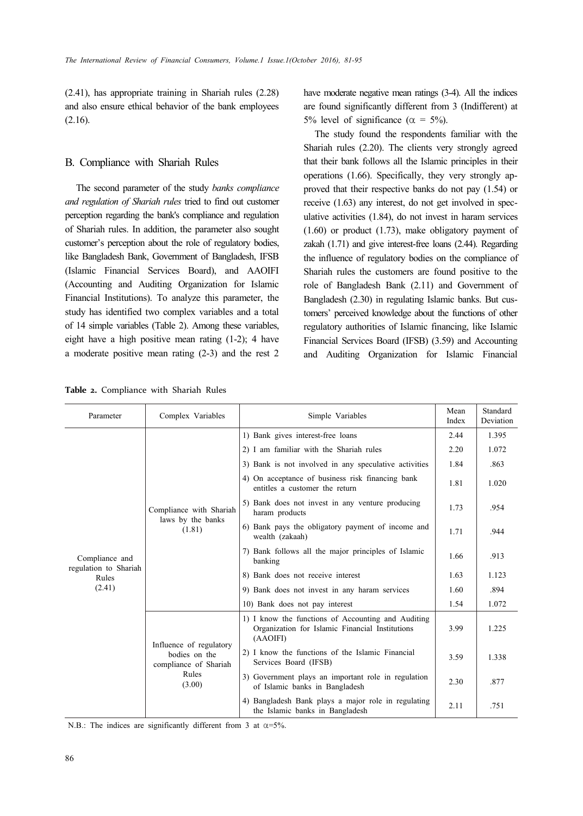(2.41), has appropriate training in Shariah rules (2.28) and also ensure ethical behavior of the bank employees (2.16).

### B. Compliance with Shariah Rules

The second parameter of the study *banks compliance and regulation of Shariah rules* tried to find out customer perception regarding the bank's compliance and regulation of Shariah rules. In addition, the parameter also sought customer's perception about the role of regulatory bodies, like Bangladesh Bank, Government of Bangladesh, IFSB (Islamic Financial Services Board), and AAOIFI (Accounting and Auditing Organization for Islamic Financial Institutions). To analyze this parameter, the study has identified two complex variables and a total of 14 simple variables (Table 2). Among these variables, eight have a high positive mean rating (1-2); 4 have a moderate positive mean rating (2-3) and the rest 2 have moderate negative mean ratings (3-4). All the indices are found significantly different from 3 (Indifferent) at 5% level of significance ( $\alpha = 5\%$ ).

The study found the respondents familiar with the Shariah rules (2.20). The clients very strongly agreed that their bank follows all the Islamic principles in their operations (1.66). Specifically, they very strongly approved that their respective banks do not pay (1.54) or receive (1.63) any interest, do not get involved in speculative activities (1.84), do not invest in haram services (1.60) or product (1.73), make obligatory payment of zakah (1.71) and give interest-free loans (2.44). Regarding the influence of regulatory bodies on the compliance of Shariah rules the customers are found positive to the role of Bangladesh Bank (2.11) and Government of Bangladesh (2.30) in regulating Islamic banks. But customers' perceived knowledge about the functions of other regulatory authorities of Islamic financing, like Islamic Financial Services Board (IFSB) (3.59) and Accounting and Auditing Organization for Islamic Financial

|  |  |  | <b>Table 2.</b> Compliance with Shariah Rules |  |  |  |  |  |  |
|--|--|--|-----------------------------------------------|--|--|--|--|--|--|
|--|--|--|-----------------------------------------------|--|--|--|--|--|--|

| Parameter                               | Complex Variables                                                                                                                              | Simple Variables                                                                                                  | Mean<br>Index | Standard<br>Deviation |
|-----------------------------------------|------------------------------------------------------------------------------------------------------------------------------------------------|-------------------------------------------------------------------------------------------------------------------|---------------|-----------------------|
|                                         |                                                                                                                                                | 1) Bank gives interest-free loans                                                                                 | 2.44          | 1.395                 |
|                                         |                                                                                                                                                | 2) I am familiar with the Shariah rules                                                                           | 2.20          | 1.072                 |
|                                         |                                                                                                                                                | 3) Bank is not involved in any speculative activities                                                             | 1.84          | .863                  |
|                                         |                                                                                                                                                | 4) On acceptance of business risk financing bank<br>entitles a customer the return                                | 1.81          | 1.020                 |
|                                         | Compliance with Shariah<br>laws by the banks<br>(1.81)<br>Influence of regulatory<br>bodies on the<br>compliance of Shariah<br>Rules<br>(3.00) | 5) Bank does not invest in any venture producing<br>haram products                                                | 1.73          | .954                  |
|                                         |                                                                                                                                                | 6) Bank pays the obligatory payment of income and<br>wealth (zakaah)                                              | 1.71          | .944                  |
| Compliance and<br>regulation to Shariah |                                                                                                                                                | 7) Bank follows all the major principles of Islamic<br>banking                                                    | 1.66          | .913                  |
| Rules                                   |                                                                                                                                                | 8) Bank does not receive interest                                                                                 | 1.63          | 1.123                 |
| (2.41)                                  |                                                                                                                                                | 9) Bank does not invest in any haram services                                                                     | 1.60          | .894                  |
|                                         |                                                                                                                                                | 10) Bank does not pay interest                                                                                    | 1.54          | 1.072                 |
|                                         |                                                                                                                                                | 1) I know the functions of Accounting and Auditing<br>Organization for Islamic Financial Institutions<br>(AAOIFI) | 3.99          | 1.225                 |
|                                         |                                                                                                                                                | 2) I know the functions of the Islamic Financial<br>Services Board (IFSB)                                         | 3.59          | 1.338                 |
|                                         |                                                                                                                                                | 3) Government plays an important role in regulation<br>of Islamic banks in Bangladesh                             | 2.30          | .877                  |
|                                         |                                                                                                                                                | 4) Bangladesh Bank plays a major role in regulating<br>the Islamic banks in Bangladesh                            | 2.11          | .751                  |

N.B.: The indices are significantly different from 3 at  $\alpha = 5\%$ .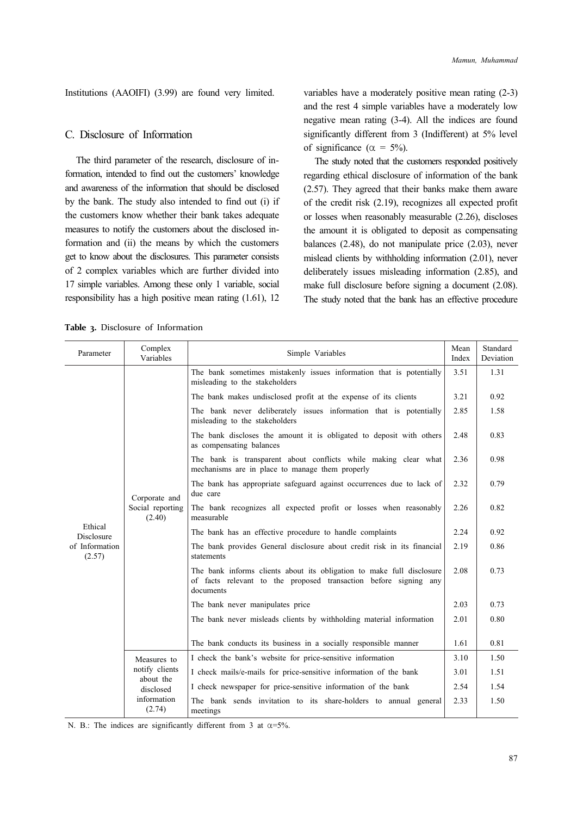Institutions (AAOIFI) (3.99) are found very limited.

### C. Disclosure of Information

The third parameter of the research, disclosure of information, intended to find out the customers' knowledge and awareness of the information that should be disclosed by the bank. The study also intended to find out (i) if the customers know whether their bank takes adequate measures to notify the customers about the disclosed information and (ii) the means by which the customers get to know about the disclosures. This parameter consists of 2 complex variables which are further divided into 17 simple variables. Among these only 1 variable, social responsibility has a high positive mean rating (1.61), 12 variables have a moderately positive mean rating (2-3) and the rest 4 simple variables have a moderately low negative mean rating (3-4). All the indices are found significantly different from 3 (Indifferent) at 5% level of significance ( $\alpha = 5\%$ ).

The study noted that the customers responded positively regarding ethical disclosure of information of the bank (2.57). They agreed that their banks make them aware of the credit risk (2.19), recognizes all expected profit or losses when reasonably measurable (2.26), discloses the amount it is obligated to deposit as compensating balances (2.48), do not manipulate price (2.03), never mislead clients by withholding information (2.01), never deliberately issues misleading information (2.85), and make full disclosure before signing a document (2.08). The study noted that the bank has an effective procedure

**Table 3.** Disclosure of Information

| Parameter                    | Complex<br>Variables                        | Simple Variables                                                                                                                                       | Mean<br>Index | Standard<br>Deviation |
|------------------------------|---------------------------------------------|--------------------------------------------------------------------------------------------------------------------------------------------------------|---------------|-----------------------|
|                              |                                             | The bank sometimes mistakenly issues information that is potentially<br>misleading to the stakeholders                                                 | 3.51          | 1.31                  |
|                              |                                             | The bank makes undisclosed profit at the expense of its clients                                                                                        | 3.21          | 0.92                  |
|                              |                                             | The bank never deliberately issues information that is potentially<br>misleading to the stakeholders                                                   | 2.85          | 1.58                  |
|                              |                                             | The bank discloses the amount it is obligated to deposit with others<br>as compensating balances                                                       | 2.48          | 0.83                  |
|                              |                                             | The bank is transparent about conflicts while making clear what<br>mechanisms are in place to manage them properly                                     | 2.36          | 0.98                  |
|                              | Corporate and<br>Social reporting<br>(2.40) | The bank has appropriate safeguard against occurrences due to lack of<br>due care                                                                      | 2.32          | 0.79                  |
|                              |                                             | The bank recognizes all expected profit or losses when reasonably<br>measurable                                                                        | 2.26          | 0.82                  |
| Ethical<br><b>Disclosure</b> |                                             | The bank has an effective procedure to handle complaints                                                                                               | 2.24          | 0.92                  |
| of Information<br>(2.57)     |                                             | The bank provides General disclosure about credit risk in its financial<br>statements                                                                  | 2.19          | 0.86                  |
|                              |                                             | The bank informs clients about its obligation to make full disclosure<br>of facts relevant to the proposed transaction before signing any<br>documents | 2.08          | 0.73                  |
|                              |                                             | The bank never manipulates price                                                                                                                       | 2.03          | 0.73                  |
|                              |                                             | The bank never misleads clients by withholding material information                                                                                    | 2.01          | 0.80                  |
|                              |                                             | The bank conducts its business in a socially responsible manner                                                                                        | 1.61          | 0.81                  |
|                              | Measures to                                 | I check the bank's website for price-sensitive information                                                                                             | 3.10          | 1.50                  |
|                              | notify clients<br>about the                 | I check mails/e-mails for price-sensitive information of the bank                                                                                      | 3.01          | 1.51                  |
|                              | disclosed                                   | I check newspaper for price-sensitive information of the bank                                                                                          | 2.54          | 1.54                  |
|                              | information<br>(2.74)                       | The bank sends invitation to its share-holders to annual general<br>meetings                                                                           | 2.33          | 1.50                  |

N. B.: The indices are significantly different from 3 at  $\alpha = 5\%$ .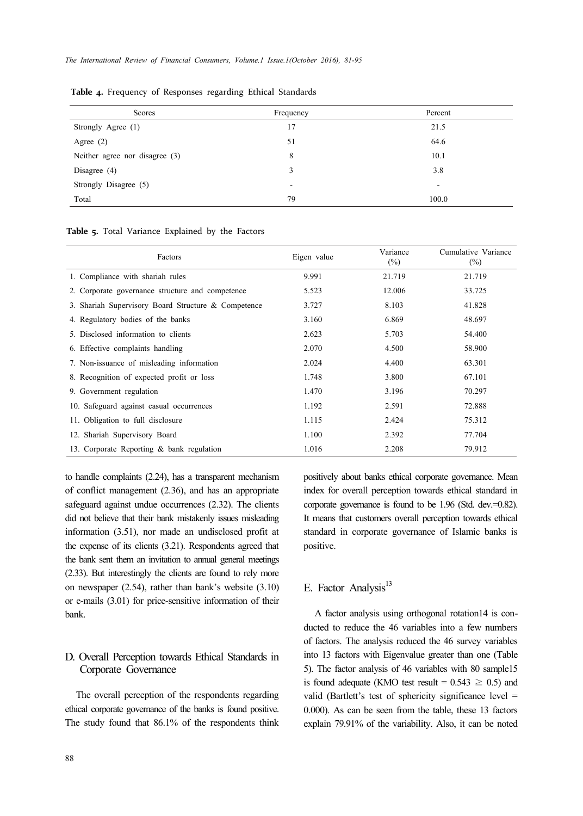| Scores                         | Frequency                | Percent                  |
|--------------------------------|--------------------------|--------------------------|
| Strongly Agree (1)             | 17                       | 21.5                     |
| Agree $(2)$                    | 51                       | 64.6                     |
| Neither agree nor disagree (3) | 8                        | 10.1                     |
| Disagree $(4)$                 | 3                        | 3.8                      |
| Strongly Disagree (5)          | $\overline{\phantom{0}}$ | $\overline{\phantom{a}}$ |
| Total                          | 79                       | 100.0                    |

**Table 4.** Frequency of Responses regarding Ethical Standards

**Table 5.** Total Variance Explained by the Factors

| Factors                                             | Eigen value | Variance<br>$(\%)$ | Cumulative Variance<br>$(\%)$ |
|-----------------------------------------------------|-------------|--------------------|-------------------------------|
| 1. Compliance with shariah rules                    | 9.991       | 21.719             | 21.719                        |
| 2. Corporate governance structure and competence    | 5.523       | 12.006             | 33.725                        |
| 3. Shariah Supervisory Board Structure & Competence | 3.727       | 8.103              | 41.828                        |
| 4. Regulatory bodies of the banks                   | 3.160       | 6.869              | 48.697                        |
| 5. Disclosed information to clients                 | 2.623       | 5.703              | 54.400                        |
| 6. Effective complaints handling                    | 2.070       | 4.500              | 58.900                        |
| 7. Non-issuance of misleading information           | 2.024       | 4.400              | 63.301                        |
| 8. Recognition of expected profit or loss           | 1.748       | 3.800              | 67.101                        |
| 9. Government regulation                            | 1.470       | 3.196              | 70.297                        |
| 10. Safeguard against casual occurrences            | 1.192       | 2.591              | 72.888                        |
| 11. Obligation to full disclosure                   | 1.115       | 2.424              | 75.312                        |
| 12. Shariah Supervisory Board                       | 1.100       | 2.392              | 77.704                        |
| 13. Corporate Reporting & bank regulation           | 1.016       | 2.208              | 79.912                        |

to handle complaints (2.24), has a transparent mechanism of conflict management (2.36), and has an appropriate safeguard against undue occurrences (2.32). The clients did not believe that their bank mistakenly issues misleading information (3.51), nor made an undisclosed profit at the expense of its clients (3.21). Respondents agreed that the bank sent them an invitation to annual general meetings (2.33). But interestingly the clients are found to rely more on newspaper (2.54), rather than bank's website (3.10) or e-mails (3.01) for price-sensitive information of their bank.

## D. Overall Perception towards Ethical Standards in Corporate Governance

The overall perception of the respondents regarding ethical corporate governance of the banks is found positive. The study found that 86.1% of the respondents think positively about banks ethical corporate governance. Mean index for overall perception towards ethical standard in corporate governance is found to be 1.96 (Std. dev.=0.82). It means that customers overall perception towards ethical standard in corporate governance of Islamic banks is positive.

# E. Factor Analysis<sup>13</sup>

A factor analysis using orthogonal rotation14 is conducted to reduce the 46 variables into a few numbers of factors. The analysis reduced the 46 survey variables into 13 factors with Eigenvalue greater than one (Table 5). The factor analysis of 46 variables with 80 sample15 is found adequate (KMO test result =  $0.543 \ge 0.5$ ) and valid (Bartlett's test of sphericity significance level = 0.000). As can be seen from the table, these 13 factors explain 79.91% of the variability. Also, it can be noted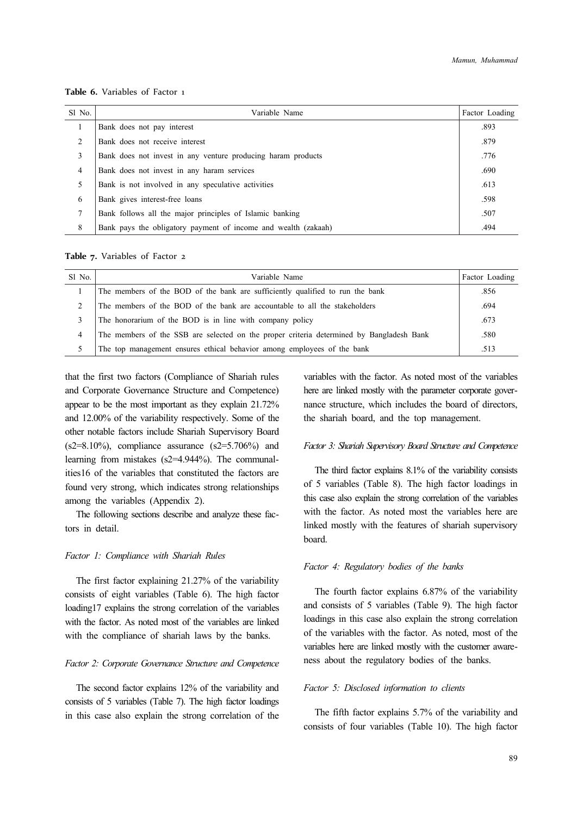**Table 6.** Variables of Factor 1

| Sl No. | Variable Name                                                  | Factor Loading |
|--------|----------------------------------------------------------------|----------------|
|        | Bank does not pay interest                                     | .893           |
| 2      | Bank does not receive interest                                 | .879           |
| 3      | Bank does not invest in any venture producing haram products   | .776           |
| 4      | Bank does not invest in any haram services                     | .690           |
| 5      | Bank is not involved in any speculative activities             | .613           |
| 6      | Bank gives interest-free loans                                 | .598           |
| 7      | Bank follows all the major principles of Islamic banking       | .507           |
| 8      | Bank pays the obligatory payment of income and wealth (zakaah) | .494           |

**Table 7.** Variables of Factor 2

| $SI$ No.       | Variable Name                                                                            | Factor Loading |
|----------------|------------------------------------------------------------------------------------------|----------------|
|                | The members of the BOD of the bank are sufficiently qualified to run the bank            | .856           |
| $\overline{c}$ | The members of the BOD of the bank are accountable to all the stakeholders               | .694           |
| 3              | The honorarium of the BOD is in line with company policy                                 | .673           |
| 4              | The members of the SSB are selected on the proper criteria determined by Bangladesh Bank | .580           |
| 5              | The top management ensures ethical behavior among employees of the bank                  | .513           |

that the first two factors (Compliance of Shariah rules and Corporate Governance Structure and Competence) appear to be the most important as they explain 21.72% and 12.00% of the variability respectively. Some of the other notable factors include Shariah Supervisory Board  $(s2=8.10\%)$ , compliance assurance  $(s2=5.706\%)$  and learning from mistakes (s2=4.944%). The communalities16 of the variables that constituted the factors are found very strong, which indicates strong relationships among the variables (Appendix 2).

The following sections describe and analyze these factors in detail.

#### *Factor 1: Compliance with Shariah Rules*

The first factor explaining 21.27% of the variability consists of eight variables (Table 6). The high factor loading17 explains the strong correlation of the variables with the factor. As noted most of the variables are linked with the compliance of shariah laws by the banks.

#### *Factor 2: Corporate Governance Structure and Competence*

The second factor explains 12% of the variability and consists of 5 variables (Table 7). The high factor loadings in this case also explain the strong correlation of the variables with the factor. As noted most of the variables here are linked mostly with the parameter corporate governance structure, which includes the board of directors, the shariah board, and the top management.

#### *Factor 3: Shariah Supervisory Board Structure and Competence*

The third factor explains 8.1% of the variability consists of 5 variables (Table 8). The high factor loadings in this case also explain the strong correlation of the variables with the factor. As noted most the variables here are linked mostly with the features of shariah supervisory board.

#### *Factor 4: Regulatory bodies of the banks*

The fourth factor explains 6.87% of the variability and consists of 5 variables (Table 9). The high factor loadings in this case also explain the strong correlation of the variables with the factor. As noted, most of the variables here are linked mostly with the customer awareness about the regulatory bodies of the banks.

#### *Factor 5: Disclosed information to clients*

The fifth factor explains 5.7% of the variability and consists of four variables (Table 10). The high factor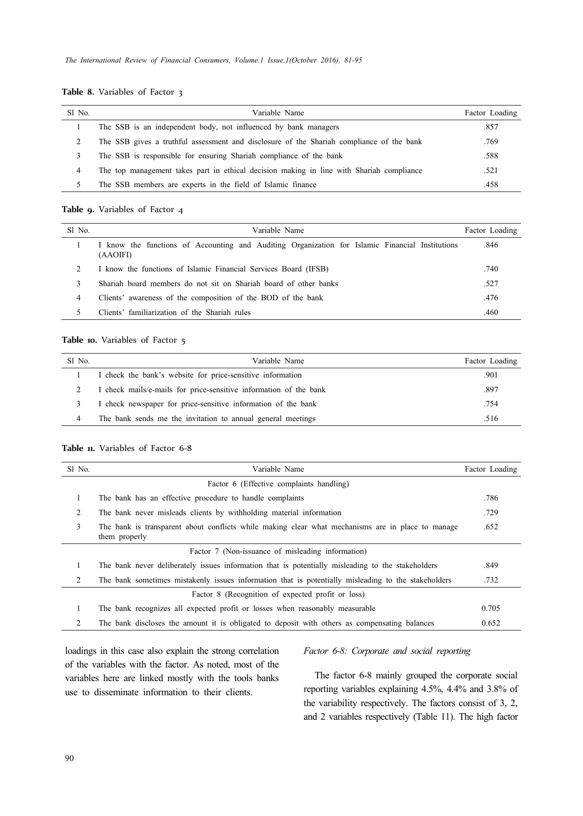### **Table 8.** Variables of Factor 3

| S1 No. | Variable Name                                                                            | Factor Loading |
|--------|------------------------------------------------------------------------------------------|----------------|
|        | The SSB is an independent body, not influenced by bank managers                          | .857           |
|        | The SSB gives a truthful assessment and disclosure of the Shariah compliance of the bank | .769           |
| 3      | The SSB is responsible for ensuring Shariah compliance of the bank                       | .588           |
| 4      | The top management takes part in ethical decision making in line with Shariah compliance | .521           |
|        | The SSB members are experts in the field of Islamic finance                              | .458           |

#### **Table 9.** Variables of Factor 4

| S1 No. | Variable Name                                                                                               | Factor Loading |
|--------|-------------------------------------------------------------------------------------------------------------|----------------|
|        | I know the functions of Accounting and Auditing Organization for Islamic Financial Institutions<br>(AAOIFI) | .846           |
|        | I know the functions of Islamic Financial Services Board (IFSB)                                             | .740           |
| 3      | Shariah board members do not sit on Shariah board of other banks                                            | .527           |
| 4      | Clients' awareness of the composition of the BOD of the bank                                                | .476           |
|        | Clients' familiarization of the Shariah rules                                                               | .460           |

### **Table 10.** Variables of Factor 5

| Sl No. | Variable Name                                                     | Factor Loading |
|--------|-------------------------------------------------------------------|----------------|
|        | I check the bank's website for price-sensitive information        | .901           |
|        | I check mails/e-mails for price-sensitive information of the bank | .897           |
|        | I check newspaper for price-sensitive information of the bank     | .754           |
| 4      | The bank sends me the invitation to annual general meetings       | .516           |

#### **Table 11.** Variables of Factor 6‐8

| Sl No. | Variable Name                                                                                                      | Factor Loading |
|--------|--------------------------------------------------------------------------------------------------------------------|----------------|
|        | Factor 6 (Effective complaints handling)                                                                           |                |
| 1      | The bank has an effective procedure to handle complaints                                                           | .786           |
| 2      | The bank never misleads clients by withholding material information                                                | .729           |
| 3      | The bank is transparent about conflicts while making clear what mechanisms are in place to manage<br>them properly | .652           |
|        | Factor 7 (Non-issuance of misleading information)                                                                  |                |
|        | The bank never deliberately issues information that is potentially misleading to the stakeholders                  | .849           |
| 2      | The bank sometimes mistakenly issues information that is potentially misleading to the stakeholders                | .732           |
|        | Factor 8 (Recognition of expected profit or loss)                                                                  |                |
| 1      | The bank recognizes all expected profit or losses when reasonably measurable                                       | 0.705          |
| 2      | The bank discloses the amount it is obligated to deposit with others as compensating balances                      | 0.652          |

loadings in this case also explain the strong correlation of the variables with the factor. As noted, most of the variables here are linked mostly with the tools banks use to disseminate information to their clients.

### *Factor 6-8: Corporate and social reporting*

The factor 6-8 mainly grouped the corporate social reporting variables explaining 4.5%, 4.4% and 3.8% of the variability respectively. The factors consist of 3, 2, and 2 variables respectively (Table 11). The high factor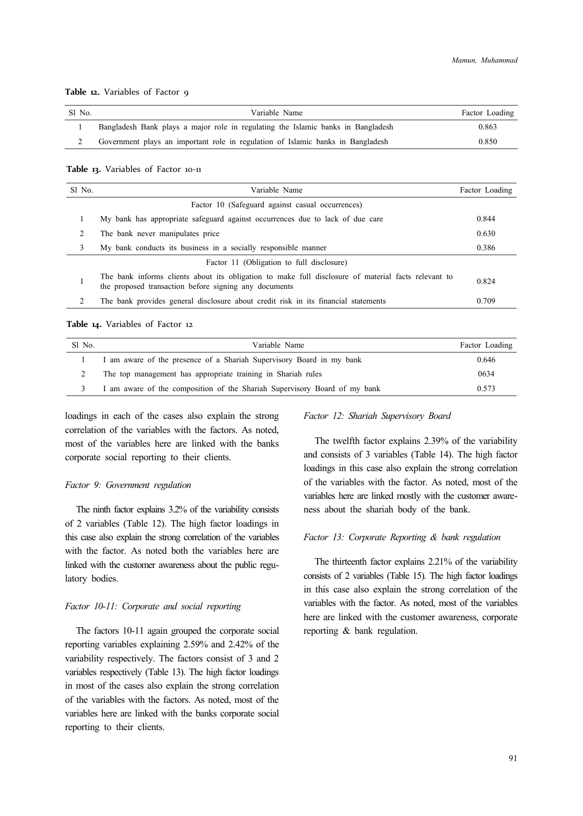# Sl No. Variable Name Factor Loading 1 Bangladesh Bank plays a major role in regulating the Islamic banks in Bangladesh 0.863 2 Government plays an important role in regulation of Islamic banks in Bangladesh 0.850

#### **Table 12.** Variables of Factor 9

#### **Table 13.** Variables of Factor 10‐11

| Sl No. | Variable Name                                                                                                                                                |       |  |  |
|--------|--------------------------------------------------------------------------------------------------------------------------------------------------------------|-------|--|--|
|        | Factor 10 (Safeguard against casual occurrences)                                                                                                             |       |  |  |
|        | My bank has appropriate safeguard against occurrences due to lack of due care                                                                                | 0.844 |  |  |
| 2      | The bank never manipulates price                                                                                                                             | 0.630 |  |  |
| 3      | My bank conducts its business in a socially responsible manner                                                                                               | 0.386 |  |  |
|        | Factor 11 (Obligation to full disclosure)                                                                                                                    |       |  |  |
|        | The bank informs clients about its obligation to make full disclosure of material facts relevant to<br>the proposed transaction before signing any documents | 0.824 |  |  |
| 2      | The bank provides general disclosure about credit risk in its financial statements                                                                           | 0.709 |  |  |

#### **Table 14.** Variables of Factor 12

| Sl No. | Variable Name                                                             | Factor Loading |
|--------|---------------------------------------------------------------------------|----------------|
|        | I am aware of the presence of a Shariah Supervisory Board in my bank      | 0.646          |
|        | The top management has appropriate training in Shariah rules              | 0634           |
| 3      | I am aware of the composition of the Shariah Supervisory Board of my bank | 0.573          |

loadings in each of the cases also explain the strong correlation of the variables with the factors. As noted, most of the variables here are linked with the banks corporate social reporting to their clients.

#### *Factor 9: Government regulation*

The ninth factor explains 3.2% of the variability consists of 2 variables (Table 12). The high factor loadings in this case also explain the strong correlation of the variables with the factor. As noted both the variables here are linked with the customer awareness about the public regulatory bodies.

### *Factor 10-11: Corporate and social reporting*

The factors 10-11 again grouped the corporate social reporting variables explaining 2.59% and 2.42% of the variability respectively. The factors consist of 3 and 2 variables respectively (Table 13). The high factor loadings in most of the cases also explain the strong correlation of the variables with the factors. As noted, most of the variables here are linked with the banks corporate social reporting to their clients.

#### *Factor 12: Shariah Supervisory Board*

The twelfth factor explains 2.39% of the variability and consists of 3 variables (Table 14). The high factor loadings in this case also explain the strong correlation of the variables with the factor. As noted, most of the variables here are linked mostly with the customer awareness about the shariah body of the bank.

#### *Factor 13: Corporate Reporting & bank regulation*

The thirteenth factor explains 2.21% of the variability consists of 2 variables (Table 15). The high factor loadings in this case also explain the strong correlation of the variables with the factor. As noted, most of the variables here are linked with the customer awareness, corporate reporting & bank regulation.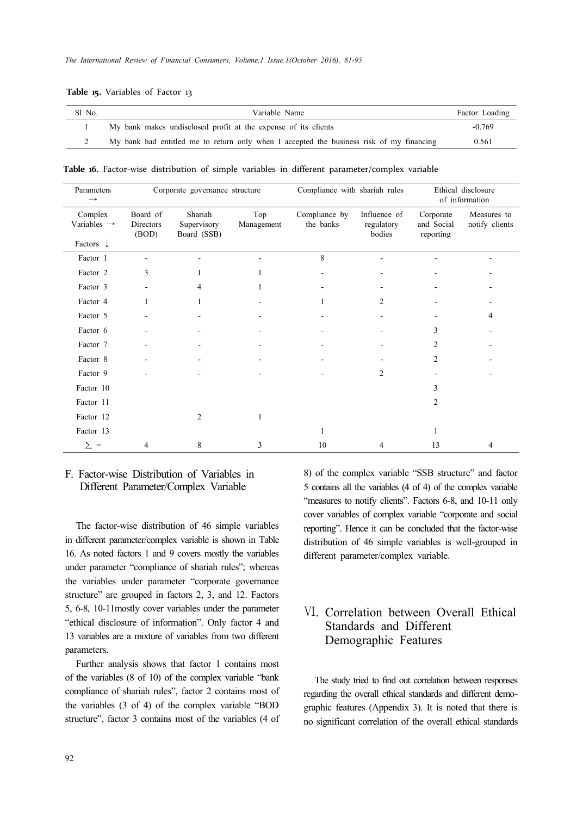| <b>Table 15.</b> Variables of Factor 13 |  |  |
|-----------------------------------------|--|--|
|                                         |  |  |

| Sl No. | Variable Name                                                                            | Factor Loading |
|--------|------------------------------------------------------------------------------------------|----------------|
|        | My bank makes undisclosed profit at the expense of its clients                           | $-0.769$       |
|        | My bank had entitled me to return only when I accepted the business risk of my financing | 0.561          |

Table 16. Factor-wise distribution of simple variables in different parameter/complex variable

| Parameters<br>$\rightarrow$        | Corporate governance structure |                                       | Compliance with shariah rules |                            | Ethical disclosure<br>of information |                                      |                               |
|------------------------------------|--------------------------------|---------------------------------------|-------------------------------|----------------------------|--------------------------------------|--------------------------------------|-------------------------------|
| Complex<br>Variables $\rightarrow$ | Board of<br>Directors<br>(BOD) | Shariah<br>Supervisory<br>Board (SSB) | Top<br>Management             | Compliance by<br>the banks | Influence of<br>regulatory<br>bodies | Corporate<br>and Social<br>reporting | Measures to<br>notify clients |
| Factors $\downarrow$               |                                |                                       |                               |                            |                                      |                                      |                               |
| Factor 1                           |                                |                                       |                               | 8                          |                                      |                                      |                               |
| Factor 2                           | 3                              |                                       |                               |                            |                                      |                                      |                               |
| Factor 3                           |                                | 4                                     |                               |                            |                                      |                                      |                               |
| Factor 4                           |                                | 1                                     |                               |                            | 2                                    |                                      |                               |
| Factor 5                           |                                |                                       |                               |                            |                                      |                                      | 4                             |
| Factor 6                           |                                |                                       |                               |                            |                                      | 3                                    |                               |
| Factor 7                           |                                |                                       |                               |                            |                                      | 2                                    |                               |
| Factor 8                           |                                |                                       |                               |                            |                                      | $\overline{c}$                       |                               |
| Factor 9                           |                                |                                       |                               |                            | 2                                    |                                      |                               |
| Factor 10                          |                                |                                       |                               |                            |                                      | 3                                    |                               |
| Factor 11                          |                                |                                       |                               |                            |                                      | $\overline{c}$                       |                               |
| Factor 12                          |                                | $\overline{2}$                        |                               |                            |                                      |                                      |                               |
| Factor 13                          |                                |                                       |                               | 1                          |                                      |                                      |                               |
| $\Sigma =$                         | 4                              | 8                                     | 3                             | 10                         | 4                                    | 13                                   | 4                             |

# F. Factor-wise Distribution of Variables in Different Parameter/Complex Variable

The factor-wise distribution of 46 simple variables in different parameter/complex variable is shown in Table 16. As noted factors 1 and 9 covers mostly the variables under parameter "compliance of shariah rules"; whereas the variables under parameter "corporate governance structure" are grouped in factors 2, 3, and 12. Factors 5, 6-8, 10-11mostly cover variables under the parameter "ethical disclosure of information". Only factor 4 and 13 variables are a mixture of variables from two different parameters.

Further analysis shows that factor 1 contains most of the variables (8 of 10) of the complex variable "bank compliance of shariah rules", factor 2 contains most of the variables (3 of 4) of the complex variable "BOD structure", factor 3 contains most of the variables (4 of 8) of the complex variable "SSB structure" and factor 5 contains all the variables (4 of 4) of the complex variable "measures to notify clients". Factors 6-8, and 10-11 only cover variables of complex variable "corporate and social reporting". Hence it can be concluded that the factor-wise distribution of 46 simple variables is well-grouped in different parameter/complex variable.

# Ⅵ. Correlation between Overall Ethical Standards and Different Demographic Features

The study tried to find out correlation between responses regarding the overall ethical standards and different demographic features (Appendix 3). It is noted that there is no significant correlation of the overall ethical standards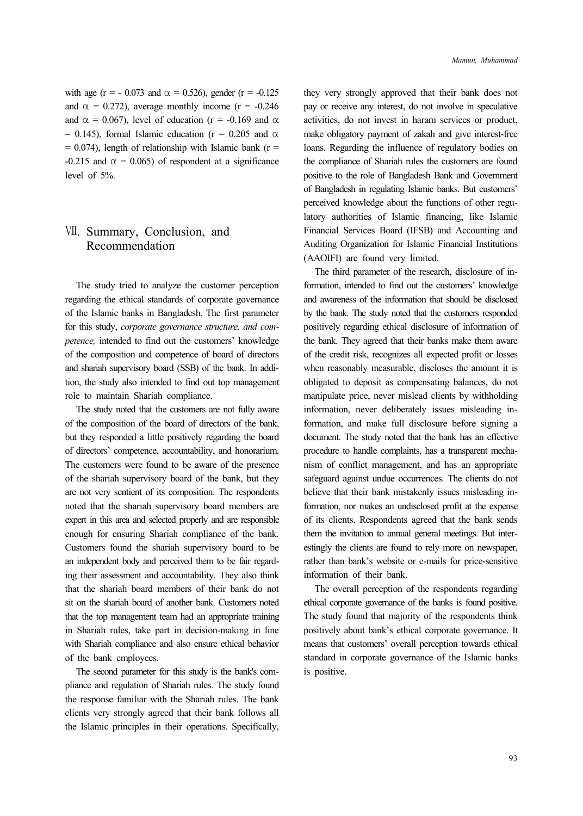with age (r = - 0.073 and  $\alpha$  = 0.526), gender (r = -0.125 and  $\alpha = 0.272$ ), average monthly income (r = -0.246) and  $\alpha = 0.067$ ), level of education (r = -0.169 and  $\alpha$ ) = 0.145), formal Islamic education ( $r = 0.205$  and  $\alpha$  $= 0.074$ ), length of relationship with Islamic bank (r = -0.215 and  $\alpha$  = 0.065) of respondent at a significance level of 5%.

# Ⅶ. Summary, Conclusion, and Recommendation

The study tried to analyze the customer perception regarding the ethical standards of corporate governance of the Islamic banks in Bangladesh. The first parameter for this study, *corporate governance structure, and competence,* intended to find out the customers' knowledge of the composition and competence of board of directors and shariah supervisory board (SSB) of the bank. In addition, the study also intended to find out top management role to maintain Shariah compliance.

The study noted that the customers are not fully aware of the composition of the board of directors of the bank, but they responded a little positively regarding the board of directors' competence, accountability, and honorarium. The customers were found to be aware of the presence of the shariah supervisory board of the bank, but they are not very sentient of its composition. The respondents noted that the shariah supervisory board members are expert in this area and selected properly and are responsible enough for ensuring Shariah compliance of the bank. Customers found the shariah supervisory board to be an independent body and perceived them to be fair regarding their assessment and accountability. They also think that the shariah board members of their bank do not sit on the shariah board of another bank. Customers noted that the top management team had an appropriate training in Shariah rules, take part in decision-making in line with Shariah compliance and also ensure ethical behavior of the bank employees.

The second parameter for this study is the bank's compliance and regulation of Shariah rules. The study found the response familiar with the Shariah rules. The bank clients very strongly agreed that their bank follows all the Islamic principles in their operations. Specifically, they very strongly approved that their bank does not pay or receive any interest, do not involve in speculative activities, do not invest in haram services or product, make obligatory payment of zakah and give interest-free loans. Regarding the influence of regulatory bodies on the compliance of Shariah rules the customers are found positive to the role of Bangladesh Bank and Government of Bangladesh in regulating Islamic banks. But customers' perceived knowledge about the functions of other regulatory authorities of Islamic financing, like Islamic Financial Services Board (IFSB) and Accounting and Auditing Organization for Islamic Financial Institutions (AAOIFI) are found very limited.

The third parameter of the research, disclosure of information, intended to find out the customers' knowledge and awareness of the information that should be disclosed by the bank. The study noted that the customers responded positively regarding ethical disclosure of information of the bank. They agreed that their banks make them aware of the credit risk, recognizes all expected profit or losses when reasonably measurable, discloses the amount it is obligated to deposit as compensating balances, do not manipulate price, never mislead clients by withholding information, never deliberately issues misleading information, and make full disclosure before signing a document. The study noted that the bank has an effective procedure to handle complaints, has a transparent mechanism of conflict management, and has an appropriate safeguard against undue occurrences. The clients do not believe that their bank mistakenly issues misleading information, nor makes an undisclosed profit at the expense of its clients. Respondents agreed that the bank sends them the invitation to annual general meetings. But interestingly the clients are found to rely more on newspaper, rather than bank's website or e-mails for price-sensitive information of their bank.

The overall perception of the respondents regarding ethical corporate governance of the banks is found positive. The study found that majority of the respondents think positively about bank's ethical corporate governance. It means that customers' overall perception towards ethical standard in corporate governance of the Islamic banks is positive.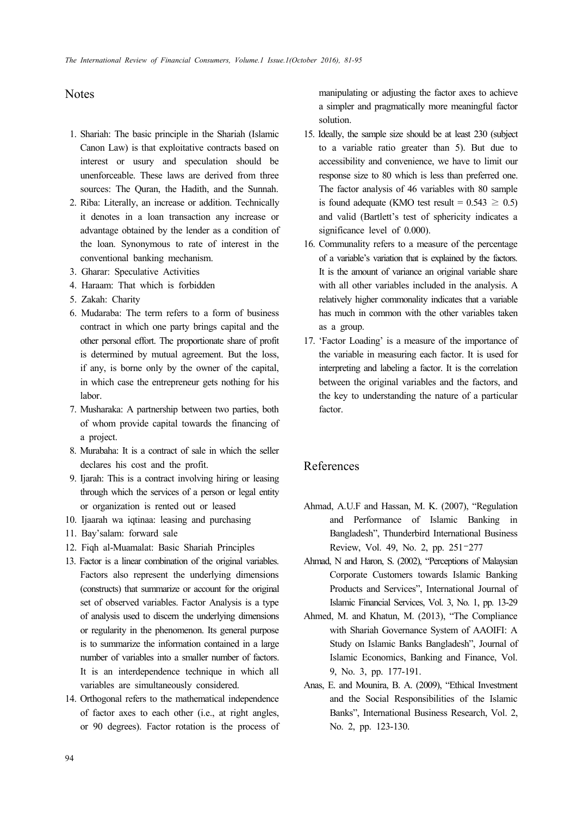## Notes

- 1. Shariah: The basic principle in the Shariah (Islamic Canon Law) is that exploitative contracts based on interest or usury and speculation should be unenforceable. These laws are derived from three sources: The Quran, the Hadith, and the Sunnah.
- 2. Riba: Literally, an increase or addition. Technically it denotes in a loan transaction any increase or advantage obtained by the lender as a condition of the loan. Synonymous to rate of interest in the conventional banking mechanism.
- 3. Gharar: Speculative Activities
- 4. Haraam: That which is forbidden
- 5. Zakah: Charity
- 6. Mudaraba: The term refers to a form of business contract in which one party brings capital and the other personal effort. The proportionate share of profit is determined by mutual agreement. But the loss, if any, is borne only by the owner of the capital, in which case the entrepreneur gets nothing for his labor.
- 7. Musharaka: A partnership between two parties, both of whom provide capital towards the financing of a project.
- 8. Murabaha: It is a contract of sale in which the seller declares his cost and the profit.
- 9. Ijarah: This is a contract involving hiring or leasing through which the services of a person or legal entity or organization is rented out or leased
- 10. Ijaarah wa iqtinaa: leasing and purchasing
- 11. Bay'salam: forward sale
- 12. Fiqh al-Muamalat: Basic Shariah Principles
- 13. Factor is a linear combination of the original variables. Factors also represent the underlying dimensions (constructs) that summarize or account for the original set of observed variables. Factor Analysis is a type of analysis used to discern the underlying dimensions or regularity in the phenomenon. Its general purpose is to summarize the information contained in a large number of variables into a smaller number of factors. It is an interdependence technique in which all variables are simultaneously considered.
- 14. Orthogonal refers to the mathematical independence of factor axes to each other (i.e., at right angles, or 90 degrees). Factor rotation is the process of

manipulating or adjusting the factor axes to achieve a simpler and pragmatically more meaningful factor solution.

- 15. Ideally, the sample size should be at least 230 (subject to a variable ratio greater than 5). But due to accessibility and convenience, we have to limit our response size to 80 which is less than preferred one. The factor analysis of 46 variables with 80 sample is found adequate (KMO test result =  $0.543 \ge 0.5$ ) and valid (Bartlett's test of sphericity indicates a significance level of 0.000).
- 16. Communality refers to a measure of the percentage of a variable's variation that is explained by the factors. It is the amount of variance an original variable share with all other variables included in the analysis. A relatively higher commonality indicates that a variable has much in common with the other variables taken as a group.
- 17. 'Factor Loading' is a measure of the importance of the variable in measuring each factor. It is used for interpreting and labeling a factor. It is the correlation between the original variables and the factors, and the key to understanding the nature of a particular factor.

# References

- Ahmad, A.U.F and Hassan, M. K. (2007), "Regulation and Performance of Islamic Banking in Bangladesh", Thunderbird International Business Review, Vol. 49, No. 2, pp. 251–277
- Ahmad, N and Haron, S. (2002), "Perceptions of Malaysian Corporate Customers towards Islamic Banking Products and Services", International Journal of Islamic Financial Services, Vol. 3, No. 1, pp. 13-29
- Ahmed, M. and Khatun, M. (2013), "The Compliance with Shariah Governance System of AAOIFI: A Study on Islamic Banks Bangladesh", Journal of Islamic Economics, Banking and Finance, Vol. 9, No. 3, pp. 177-191.
- Anas, E. and Mounira, B. A. (2009), "Ethical Investment and the Social Responsibilities of the Islamic Banks", International Business Research, Vol. 2, No. 2, pp. 123-130.